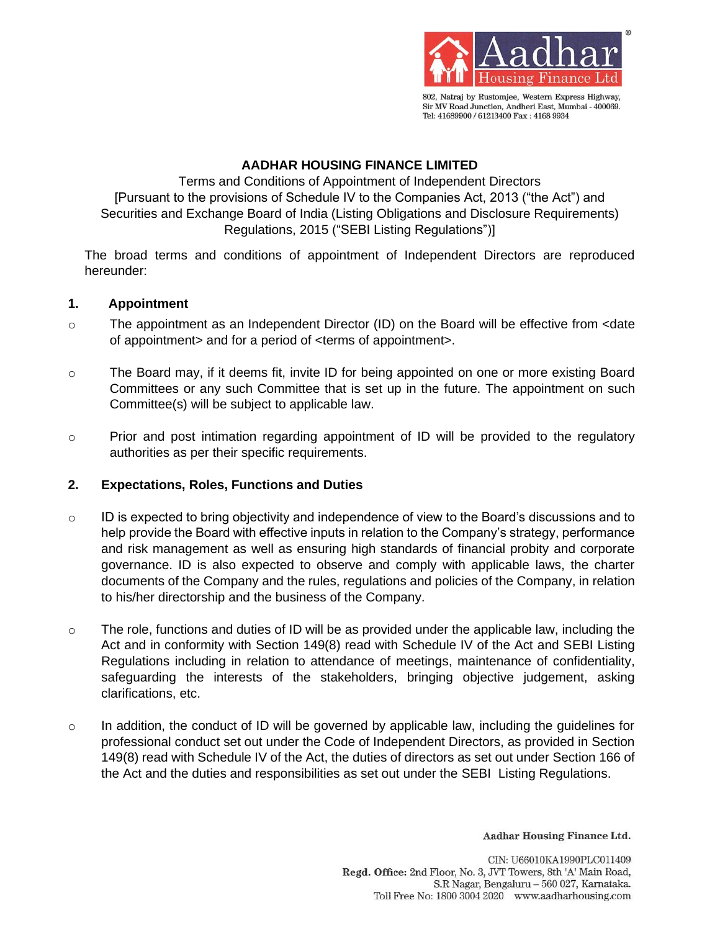

802, Natraj by Rustomjee, Western Express Highway, Sir MV Road Junction, Andheri East, Mumbai - 400069. Tel: 41689900 / 61213400 Fax: 4168 9934

## **AADHAR HOUSING FINANCE LIMITED**

Terms and Conditions of Appointment of Independent Directors [Pursuant to the provisions of Schedule IV to the Companies Act, 2013 ("the Act") and Securities and Exchange Board of India (Listing Obligations and Disclosure Requirements) Regulations, 2015 ("SEBI Listing Regulations")]

The broad terms and conditions of appointment of Independent Directors are reproduced hereunder:

# **1. Appointment**

- $\circ$  The appointment as an Independent Director (ID) on the Board will be effective from  $\le$ date of appointment> and for a period of <terms of appointment>.
- o The Board may, if it deems fit, invite ID for being appointed on one or more existing Board Committees or any such Committee that is set up in the future. The appointment on such Committee(s) will be subject to applicable law.
- o Prior and post intimation regarding appointment of ID will be provided to the regulatory authorities as per their specific requirements.

# **2. Expectations, Roles, Functions and Duties**

- o ID is expected to bring objectivity and independence of view to the Board's discussions and to help provide the Board with effective inputs in relation to the Company's strategy, performance and risk management as well as ensuring high standards of financial probity and corporate governance. ID is also expected to observe and comply with applicable laws, the charter documents of the Company and the rules, regulations and policies of the Company, in relation to his/her directorship and the business of the Company.
- $\circ$  The role, functions and duties of ID will be as provided under the applicable law, including the Act and in conformity with Section 149(8) read with Schedule IV of the Act and SEBI Listing Regulations including in relation to attendance of meetings, maintenance of confidentiality, safeguarding the interests of the stakeholders, bringing objective judgement, asking clarifications, etc.
- $\circ$  In addition, the conduct of ID will be governed by applicable law, including the guidelines for professional conduct set out under the Code of Independent Directors, as provided in Section 149(8) read with Schedule IV of the Act, the duties of directors as set out under Section 166 of the Act and the duties and responsibilities as set out under the SEBI Listing Regulations.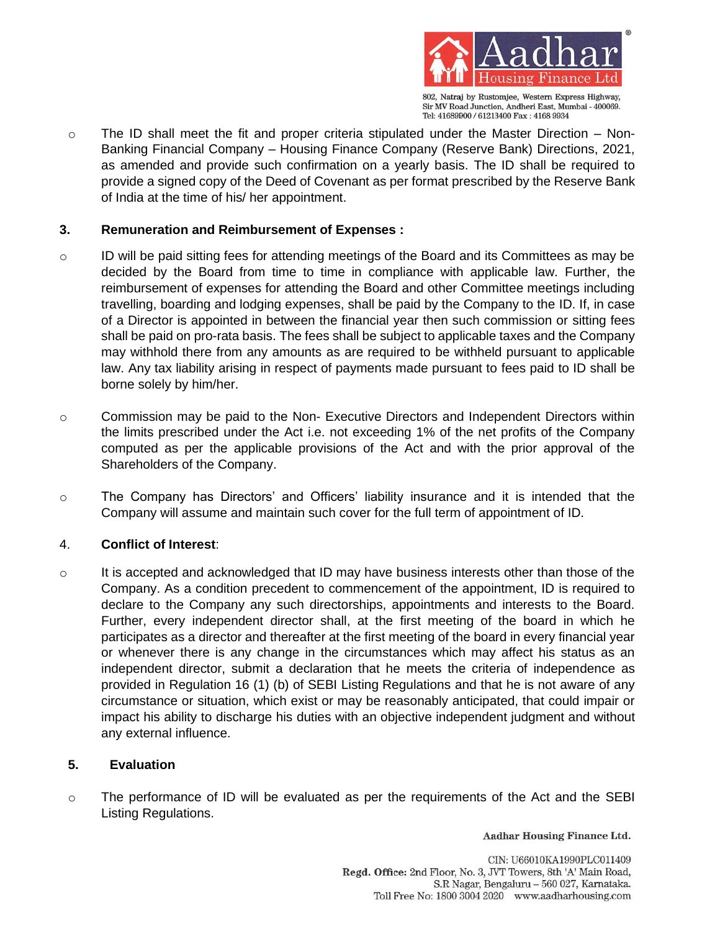

802, Natraj by Rustomjee, Western Express Highway, Sir MV Road Junction, Andheri East, Mumbai - 400069. Tel: 41689900 / 61213400 Fax: 4168 9934

 $\circ$  The ID shall meet the fit and proper criteria stipulated under the Master Direction – Non-Banking Financial Company – Housing Finance Company (Reserve Bank) Directions, 2021, as amended and provide such confirmation on a yearly basis. The ID shall be required to provide a signed copy of the Deed of Covenant as per format prescribed by the Reserve Bank of India at the time of his/ her appointment.

# **3. Remuneration and Reimbursement of Expenses :**

- $\circ$  ID will be paid sitting fees for attending meetings of the Board and its Committees as may be decided by the Board from time to time in compliance with applicable law. Further, the reimbursement of expenses for attending the Board and other Committee meetings including travelling, boarding and lodging expenses, shall be paid by the Company to the ID. If, in case of a Director is appointed in between the financial year then such commission or sitting fees shall be paid on pro-rata basis. The fees shall be subject to applicable taxes and the Company may withhold there from any amounts as are required to be withheld pursuant to applicable law. Any tax liability arising in respect of payments made pursuant to fees paid to ID shall be borne solely by him/her.
- $\circ$  Commission may be paid to the Non- Executive Directors and Independent Directors within the limits prescribed under the Act i.e. not exceeding 1% of the net profits of the Company computed as per the applicable provisions of the Act and with the prior approval of the Shareholders of the Company.
- o The Company has Directors' and Officers' liability insurance and it is intended that the Company will assume and maintain such cover for the full term of appointment of ID.

# 4. **Conflict of Interest**:

 $\circ$  It is accepted and acknowledged that ID may have business interests other than those of the Company. As a condition precedent to commencement of the appointment, ID is required to declare to the Company any such directorships, appointments and interests to the Board. Further, every independent director shall, at the first meeting of the board in which he participates as a director and thereafter at the first meeting of the board in every financial year or whenever there is any change in the circumstances which may affect his status as an independent director, submit a declaration that he meets the criteria of independence as provided in Regulation 16 (1) (b) of SEBI Listing Regulations and that he is not aware of any circumstance or situation, which exist or may be reasonably anticipated, that could impair or impact his ability to discharge his duties with an objective independent judgment and without any external influence.

# **5. Evaluation**

o The performance of ID will be evaluated as per the requirements of the Act and the SEBI Listing Regulations.

Aadhar Housing Finance Ltd.